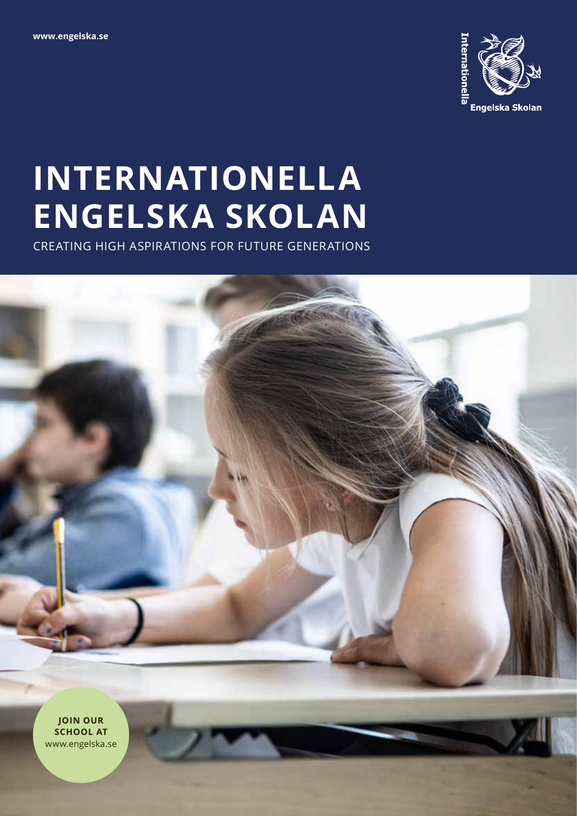

# **INTERNATIONELLA ENGELSKA SKOLAN**

CREATING HIGH ASPIRATIONS FOR FUTURE GENERATIONS



**JOIN OUR SCHOOL AT**  www.engelska.se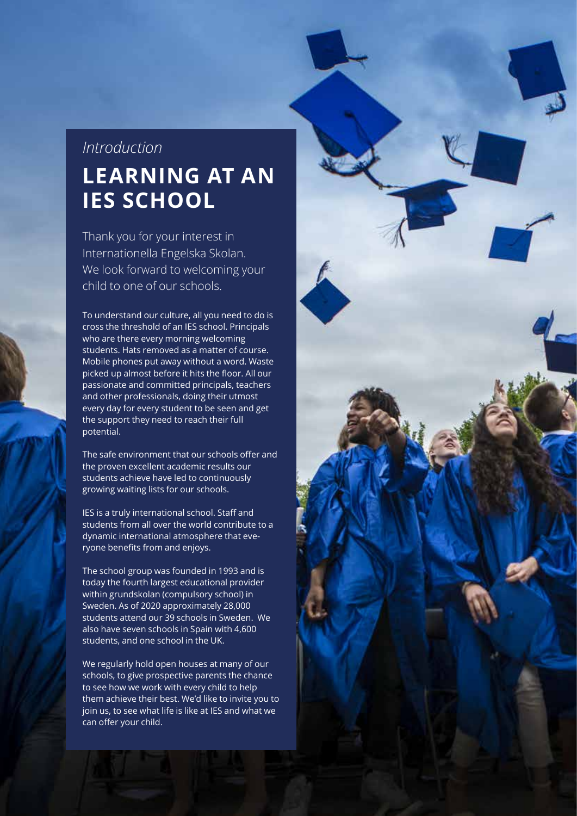## *Introduction* **LEARNING AT AN IES SCHOOL**

Thank you for your interest in Internationella Engelska Skolan. We look forward to welcoming your child to one of our schools.

To understand our culture, all you need to do is cross the threshold of an IES school. Principals who are there every morning welcoming students. Hats removed as a matter of course. Mobile phones put away without a word. Waste picked up almost before it hits the floor. All our passionate and committed principals, teachers and other professionals, doing their utmost every day for every student to be seen and get the support they need to reach their full potential.

The safe environment that our schools offer and the proven excellent academic results our students achieve have led to continuously growing waiting lists for our schools.

IES is a truly international school. Staff and students from all over the world contribute to a dynamic international atmosphere that everyone benefits from and enjoys.

The school group was founded in 1993 and is today the fourth largest educational provider within grundskolan (compulsory school) in Sweden. As of 2020 approximately 28,000 students attend our 39 schools in Sweden. We also have seven schools in Spain with 4,600 students, and one school in the UK.

We regularly hold open houses at many of our schools, to give prospective parents the chance to see how we work with every child to help them achieve their best. We'd like to invite you to join us, to see what life is like at IES and what we can offer your child.

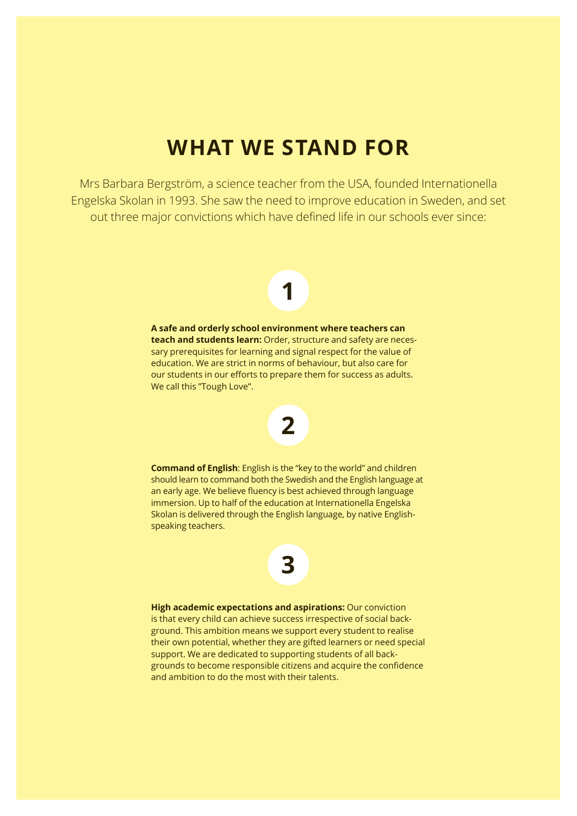## **WHAT WE STAND FOR**

Mrs Barbara Bergström, a science teacher from the USA, founded Internationella Engelska Skolan in 1993. She saw the need to improve education in Sweden, and set out three major convictions which have defined life in our schools ever since:

# **1**

**A safe and orderly school environment where teachers can teach and students learn:** Order, structure and safety are necessary prerequisites for learning and signal respect for the value of education. We are strict in norms of behaviour, but also care for our students in our efforts to prepare them for success as adults. We call this "Tough Love".



**Command of English**: English is the "key to the world" and children should learn to command both the Swedish and the English language at an early age. We believe fluency is best achieved through language immersion. Up to half of the education at Internationella Engelska Skolan is delivered through the English language, by native Englishspeaking teachers.



**High academic expectations and aspirations:** Our conviction is that every child can achieve success irrespective of social background. This ambition means we support every student to realise their own potential, whether they are gifted learners or need special support. We are dedicated to supporting students of all backgrounds to become responsible citizens and acquire the confidence and ambition to do the most with their talents.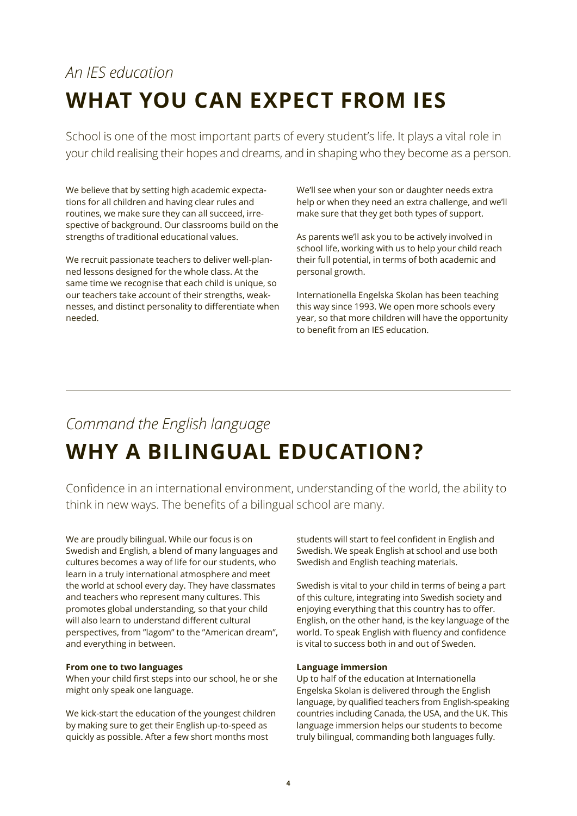## *An IES education* **WHAT YOU CAN EXPECT FROM IES**

School is one of the most important parts of every student's life. It plays a vital role in your child realising their hopes and dreams, and in shaping who they become as a person.

We believe that by setting high academic expectations for all children and having clear rules and routines, we make sure they can all succeed, irrespective of background. Our classrooms build on the strengths of traditional educational values.

We recruit passionate teachers to deliver well-planned lessons designed for the whole class. At the same time we recognise that each child is unique, so our teachers take account of their strengths, weaknesses, and distinct personality to differentiate when needed.

We'll see when your son or daughter needs extra help or when they need an extra challenge, and we'll make sure that they get both types of support.

As parents we'll ask you to be actively involved in school life, working with us to help your child reach their full potential, in terms of both academic and personal growth.

Internationella Engelska Skolan has been teaching this way since 1993. We open more schools every year, so that more children will have the opportunity to benefit from an IES education.

## *Command the English language* **WHY A BILINGUAL EDUCATION?**

Confidence in an international environment, understanding of the world, the ability to think in new ways. The benefits of a bilingual school are many.

We are proudly bilingual. While our focus is on Swedish and English, a blend of many languages and cultures becomes a way of life for our students, who learn in a truly international atmosphere and meet the world at school every day. They have classmates and teachers who represent many cultures. This promotes global understanding, so that your child will also learn to understand different cultural perspectives, from "lagom" to the "American dream", and everything in between.

### **From one to two languages**

When your child first steps into our school, he or she might only speak one language.

We kick-start the education of the youngest children by making sure to get their English up-to-speed as quickly as possible. After a few short months most

students will start to feel confident in English and Swedish. We speak English at school and use both Swedish and English teaching materials.

Swedish is vital to your child in terms of being a part of this culture, integrating into Swedish society and enjoying everything that this country has to offer. English, on the other hand, is the key language of the world. To speak English with fluency and confidence is vital to success both in and out of Sweden.

#### **Language immersion**

Up to half of the education at Internationella Engelska Skolan is delivered through the English language, by qualified teachers from English-speaking countries including Canada, the USA, and the UK. This language immersion helps our students to become truly bilingual, commanding both languages fully.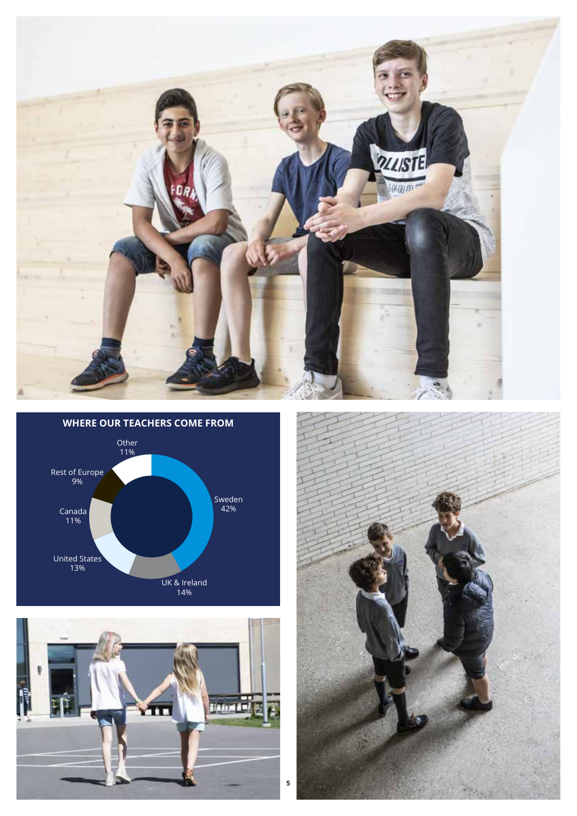





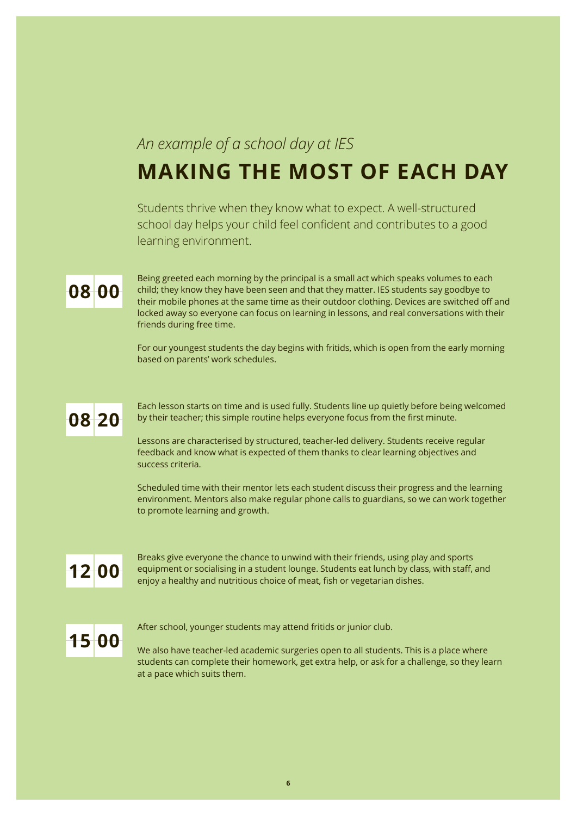### *An example of a school day at IES*

## **MAKING THE MOST OF EACH DAY**

Students thrive when they know what to expect. A well-structured school day helps your child feel confident and contributes to a good learning environment.

## **08 00**

Being greeted each morning by the principal is a small act which speaks volumes to each child; they know they have been seen and that they matter. IES students say goodbye to their mobile phones at the same time as their outdoor clothing. Devices are switched off and locked away so everyone can focus on learning in lessons, and real conversations with their friends during free time.

For our youngest students the day begins with fritids, which is open from the early morning based on parents' work schedules.

## **08 20**

Each lesson starts on time and is used fully. Students line up quietly before being welcomed by their teacher; this simple routine helps everyone focus from the first minute.

Lessons are characterised by structured, teacher-led delivery. Students receive regular feedback and know what is expected of them thanks to clear learning objectives and success criteria.

Scheduled time with their mentor lets each student discuss their progress and the learning environment. Mentors also make regular phone calls to guardians, so we can work together to promote learning and growth.

## **12 00**

Breaks give everyone the chance to unwind with their friends, using play and sports equipment or socialising in a student lounge. Students eat lunch by class, with staff, and enjoy a healthy and nutritious choice of meat, fish or vegetarian dishes.

## **15 00**

After school, younger students may attend fritids or junior club.

We also have teacher-led academic surgeries open to all students. This is a place where students can complete their homework, get extra help, or ask for a challenge, so they learn at a pace which suits them.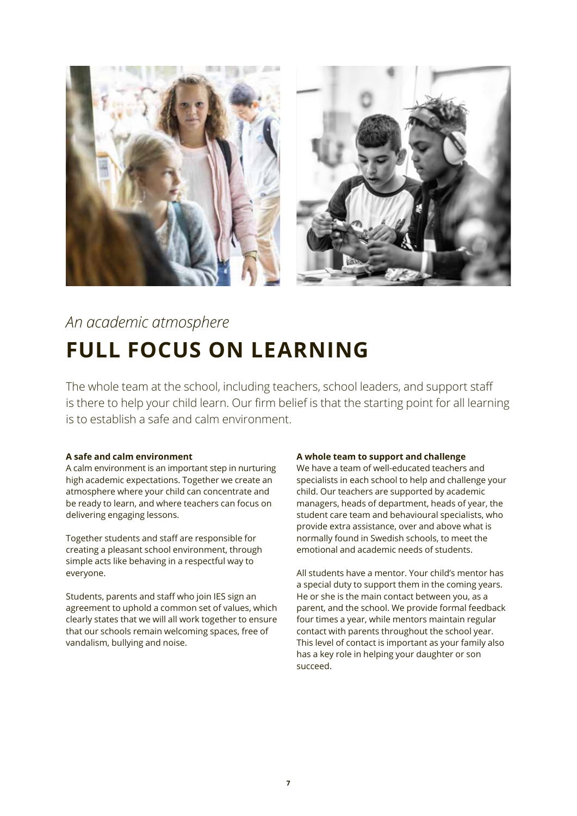

## *An academic atmosphere* **FULL FOCUS ON LEARNING**

The whole team at the school, including teachers, school leaders, and support staff is there to help your child learn. Our firm belief is that the starting point for all learning is to establish a safe and calm environment.

### **A safe and calm environment**

A calm environment is an important step in nurturing high academic expectations. Together we create an atmosphere where your child can concentrate and be ready to learn, and where teachers can focus on delivering engaging lessons.

Together students and staff are responsible for creating a pleasant school environment, through simple acts like behaving in a respectful way to everyone.

Students, parents and staff who join IES sign an agreement to uphold a common set of values, which clearly states that we will all work together to ensure that our schools remain welcoming spaces, free of vandalism, bullying and noise.

### **A whole team to support and challenge**

We have a team of well-educated teachers and specialists in each school to help and challenge your child. Our teachers are supported by academic managers, heads of department, heads of year, the student care team and behavioural specialists, who provide extra assistance, over and above what is normally found in Swedish schools, to meet the emotional and academic needs of students.

All students have a mentor. Your child's mentor has a special duty to support them in the coming years. He or she is the main contact between you, as a parent, and the school. We provide formal feedback four times a year, while mentors maintain regular contact with parents throughout the school year. This level of contact is important as your family also has a key role in helping your daughter or son succeed.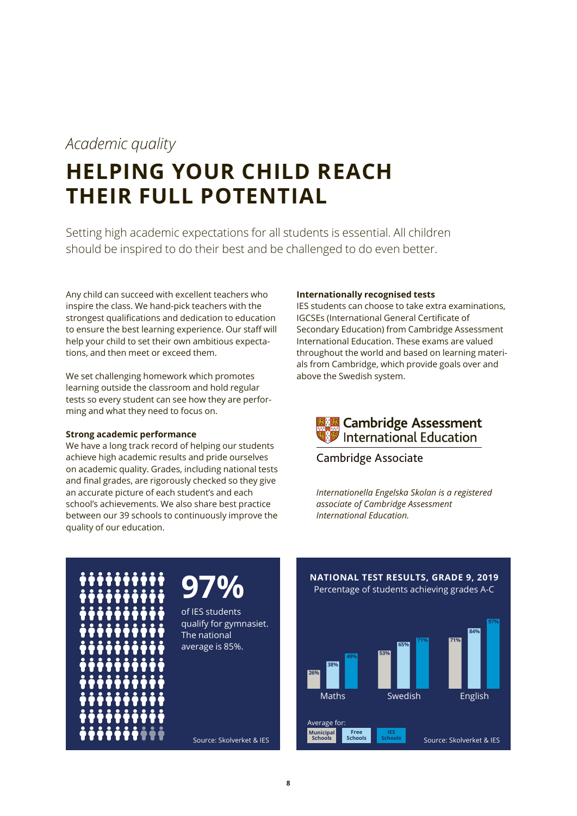### *Academic quality*

## **HELPING YOUR CHILD REACH THEIR FULL POTENTIAL**

Setting high academic expectations for all students is essential. All children should be inspired to do their best and be challenged to do even better.

Any child can succeed with excellent teachers who inspire the class. We hand-pick teachers with the strongest qualifications and dedication to education to ensure the best learning experience. Our staff will help your child to set their own ambitious expectations, and then meet or exceed them.

We set challenging homework which promotes learning outside the classroom and hold regular tests so every student can see how they are performing and what they need to focus on.

### **Strong academic performance**

We have a long track record of helping our students achieve high academic results and pride ourselves on academic quality. Grades, including national tests and final grades, are rigorously checked so they give an accurate picture of each student's and each school's achievements. We also share best practice between our 39 schools to continuously improve the quality of our education.

#### **Internationally recognised tests**

IES students can choose to take extra examinations, IGCSEs (International General Certificate of Secondary Education) from Cambridge Assessment International Education. These exams are valued throughout the world and based on learning materials from Cambridge, which provide goals over and above the Swedish system.



Cambridge Associate

*Internationella Engelska Skolan is a registered associate of Cambridge Assessment International Education.*







**26%**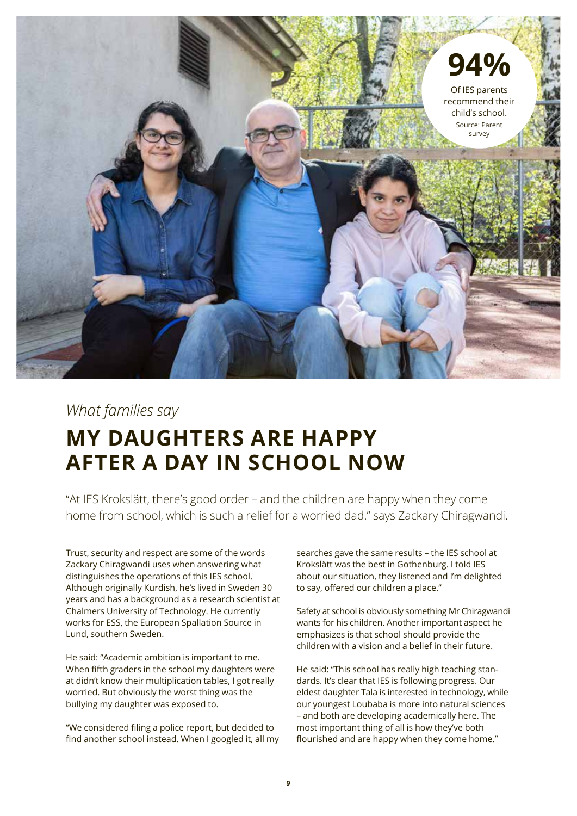

### *What families say* **MY DAUGHTERS ARE HAPPY AFTER A DAY IN SCHOOL NOW**

"At IES Krokslätt, there's good order – and the children are happy when they come home from school, which is such a relief for a worried dad." says Zackary Chiragwandi.

Trust, security and respect are some of the words Zackary Chiragwandi uses when answering what distinguishes the operations of this IES school. Although originally Kurdish, he's lived in Sweden 30 years and has a background as a research scientist at Chalmers University of Technology. He currently works for ESS, the European Spallation Source in Lund, southern Sweden.

He said: "Academic ambition is important to me. When fifth graders in the school my daughters were at didn't know their multiplication tables, I got really worried. But obviously the worst thing was the bullying my daughter was exposed to.

"We considered filing a police report, but decided to find another school instead. When I googled it, all my searches gave the same results – the IES school at Krokslätt was the best in Gothenburg. I told IES about our situation, they listened and I'm delighted to say, offered our children a place."

Safety at school is obviously something Mr Chiragwandi wants for his children. Another important aspect he emphasizes is that school should provide the children with a vision and a belief in their future.

He said: "This school has really high teaching standards. It's clear that IES is following progress. Our eldest daughter Tala is interested in technology, while our youngest Loubaba is more into natural sciences – and both are developing academically here. The most important thing of all is how they've both flourished and are happy when they come home."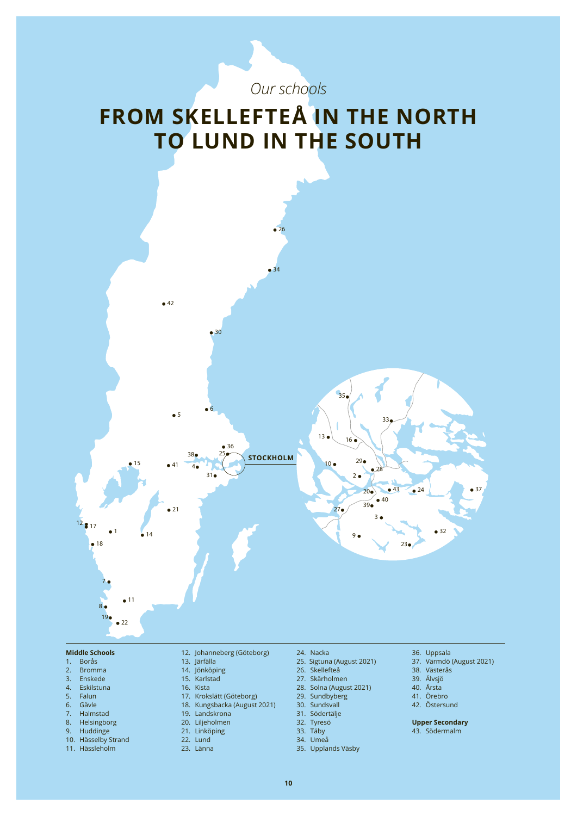## **FROM SKELLEFTEÅ IN THE NORTH TO LUND IN THE SOUTH**

*Our schools* 

• 26



- **Middle Schools**
- 1. Borås
- 2. Bromma
- 3. Enskede
- 4. Eskilstuna 5. Falun
- 6. Gävle
- 
- 7. Halmstad 8. Helsingborg
- 9. Huddinge
- 10. Hässelby Strand
- 11. Hässleholm
- 12. Johanneberg (Göteborg)
- 13. Järfälla
- 14. Jönköping 15. Karlstad
- 16. Kista
- 17. Krokslätt (Göteborg)
- 18. Kungsbacka (August 2021)
- 
- 19. Landskrona
- 20. Liljeholmen
- 21. Linköping 22. Lund
- 
- 23. Länna
- 24. Nacka
- 25. Sigtuna (August 2021)
- 26. Skellefteå
- 27. Skärholmen
- 28. Solna (August 2021)
- 29. Sundbyberg
- 30. Sundsvall
- 31. Södertälje
- 
- 32. Tyresö 33. Täby
- 34. Umeå
	- 35. Upplands Väsby
- 36. Uppsala
- 37. Värmdö (August 2021)

 $\bullet$  37

- 38. Västerås
- 39. Älvsjö 40. Årsta
- 41. Örebro
- 42. Östersund

**Upper Secondary**

43. Södermalm

**10**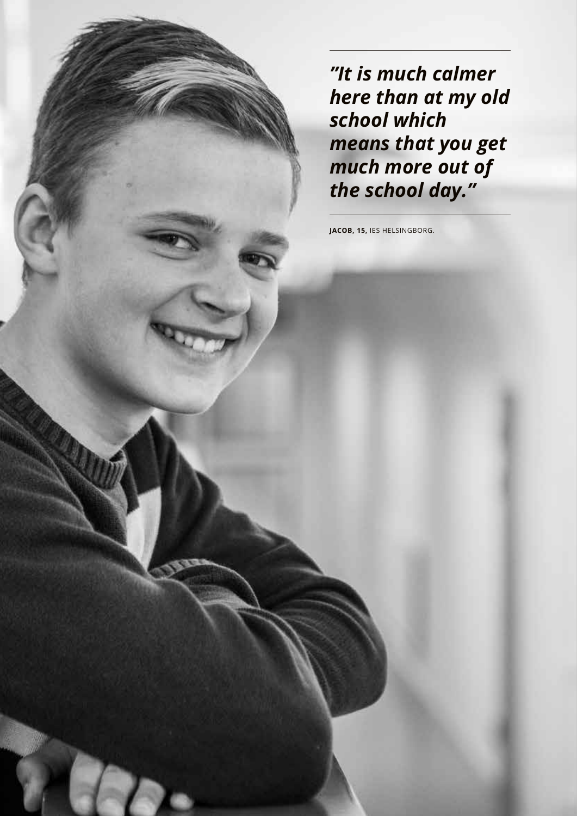*"It is much calmer here than at my old school which means that you get much more out of the school day."*

**JACOB, 15,** IES HELSINGBORG.